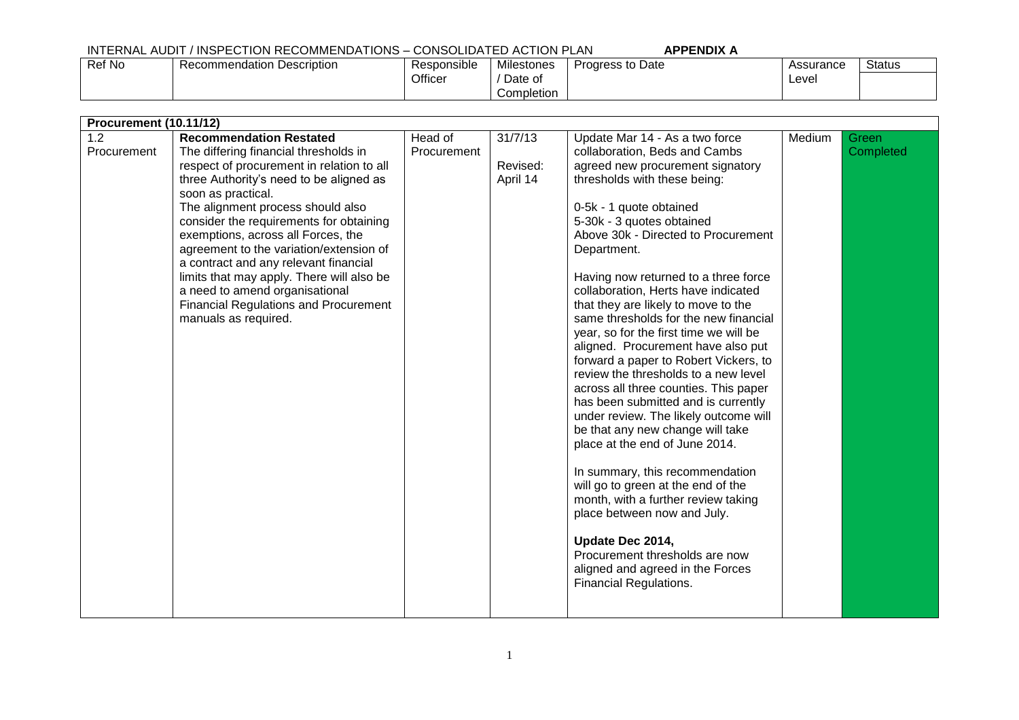## INTERNAL AUDIT / INSPECTION RECOMMENDATIONS – CONSOLIDATED ACTION PLAN **APPENDIX A** Progress to Date

Officer

Ref No Recommendation Description Responsible

| Assurance | Status |
|-----------|--------|
| Level     |        |

| <b>Procurement (10.11/12)</b> |                                                         |             |          |                                                                               |        |           |  |  |  |
|-------------------------------|---------------------------------------------------------|-------------|----------|-------------------------------------------------------------------------------|--------|-----------|--|--|--|
| 1.2                           | <b>Recommendation Restated</b>                          | Head of     | 31/7/13  | Update Mar 14 - As a two force                                                | Medium | Green     |  |  |  |
| Procurement                   | The differing financial thresholds in                   | Procurement |          | collaboration, Beds and Cambs                                                 |        | Completed |  |  |  |
|                               | respect of procurement in relation to all               |             | Revised: | agreed new procurement signatory                                              |        |           |  |  |  |
|                               | three Authority's need to be aligned as                 |             | April 14 | thresholds with these being:                                                  |        |           |  |  |  |
|                               | soon as practical.<br>The alignment process should also |             |          | 0-5k - 1 quote obtained                                                       |        |           |  |  |  |
|                               | consider the requirements for obtaining                 |             |          | 5-30k - 3 quotes obtained                                                     |        |           |  |  |  |
|                               | exemptions, across all Forces, the                      |             |          | Above 30k - Directed to Procurement                                           |        |           |  |  |  |
|                               | agreement to the variation/extension of                 |             |          | Department.                                                                   |        |           |  |  |  |
|                               | a contract and any relevant financial                   |             |          |                                                                               |        |           |  |  |  |
|                               | limits that may apply. There will also be               |             |          | Having now returned to a three force                                          |        |           |  |  |  |
|                               | a need to amend organisational                          |             |          | collaboration, Herts have indicated                                           |        |           |  |  |  |
|                               | <b>Financial Regulations and Procurement</b>            |             |          | that they are likely to move to the                                           |        |           |  |  |  |
|                               | manuals as required.                                    |             |          | same thresholds for the new financial                                         |        |           |  |  |  |
|                               |                                                         |             |          | year, so for the first time we will be                                        |        |           |  |  |  |
|                               |                                                         |             |          | aligned. Procurement have also put                                            |        |           |  |  |  |
|                               |                                                         |             |          | forward a paper to Robert Vickers, to<br>review the thresholds to a new level |        |           |  |  |  |
|                               |                                                         |             |          | across all three counties. This paper                                         |        |           |  |  |  |
|                               |                                                         |             |          | has been submitted and is currently                                           |        |           |  |  |  |
|                               |                                                         |             |          | under review. The likely outcome will                                         |        |           |  |  |  |
|                               |                                                         |             |          | be that any new change will take                                              |        |           |  |  |  |
|                               |                                                         |             |          | place at the end of June 2014.                                                |        |           |  |  |  |
|                               |                                                         |             |          | In summary, this recommendation                                               |        |           |  |  |  |
|                               |                                                         |             |          | will go to green at the end of the                                            |        |           |  |  |  |
|                               |                                                         |             |          | month, with a further review taking                                           |        |           |  |  |  |
|                               |                                                         |             |          | place between now and July.                                                   |        |           |  |  |  |
|                               |                                                         |             |          | Update Dec 2014,                                                              |        |           |  |  |  |
|                               |                                                         |             |          | Procurement thresholds are now                                                |        |           |  |  |  |
|                               |                                                         |             |          | aligned and agreed in the Forces                                              |        |           |  |  |  |
|                               |                                                         |             |          | <b>Financial Regulations.</b>                                                 |        |           |  |  |  |
|                               |                                                         |             |          |                                                                               |        |           |  |  |  |
|                               |                                                         |             |          |                                                                               |        |           |  |  |  |

Milestones / Date of Completion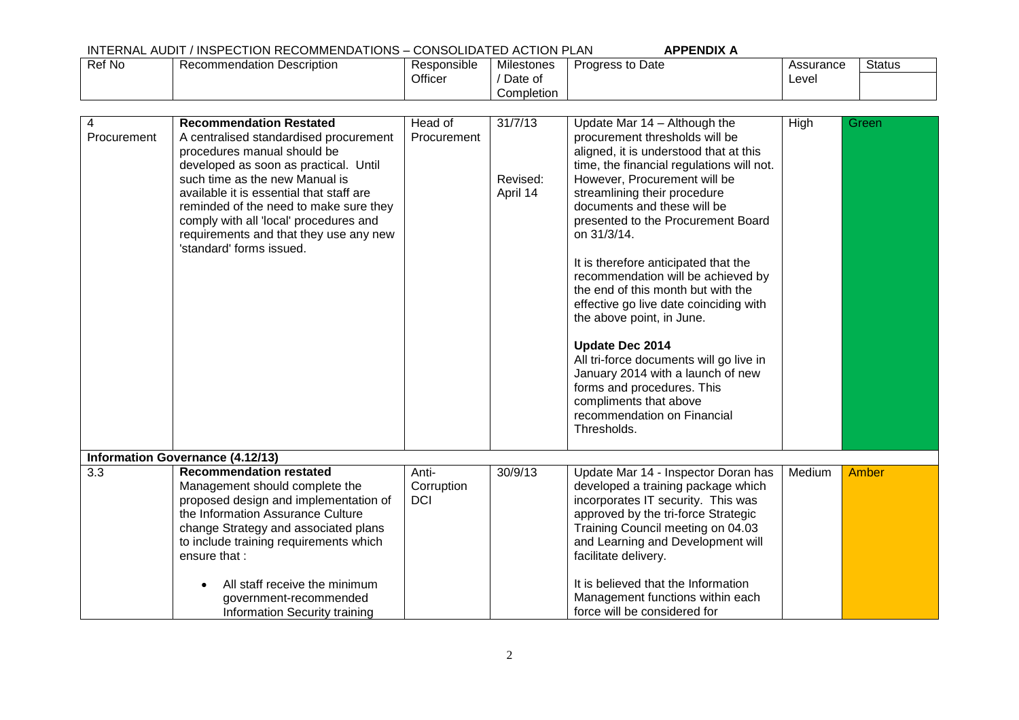## INTERNAL AUDIT / INSPECTION RECOMMENDATIONS – CONSOLIDATED ACTION PLAN **APPENDIX A**

|        | ___________________________     |             |            | .                       |           |        |
|--------|---------------------------------|-------------|------------|-------------------------|-----------|--------|
| Ref No | ı Description<br>Recommendation | Responsible | Milestones | <b>Progress to Date</b> | Assurance | Status |
|        |                                 | Officer     | Date of    |                         | Level     |        |
|        |                                 |             | Completion |                         |           |        |

| 4<br>Procurement | <b>Recommendation Restated</b><br>A centralised standardised procurement<br>procedures manual should be<br>developed as soon as practical. Until<br>such time as the new Manual is<br>available it is essential that staff are<br>reminded of the need to make sure they<br>comply with all 'local' procedures and<br>requirements and that they use any new<br>'standard' forms issued. | Head of<br>Procurement            | 31/7/13<br>Revised:<br>April 14 | Update Mar 14 - Although the<br>procurement thresholds will be<br>aligned, it is understood that at this<br>time, the financial regulations will not.<br>However, Procurement will be<br>streamlining their procedure<br>documents and these will be<br>presented to the Procurement Board<br>on 31/3/14.<br>It is therefore anticipated that the<br>recommendation will be achieved by<br>the end of this month but with the<br>effective go live date coinciding with<br>the above point, in June.<br>Update Dec 2014<br>All tri-force documents will go live in<br>January 2014 with a launch of new<br>forms and procedures. This<br>compliments that above<br>recommendation on Financial<br>Thresholds. | High   | Green |
|------------------|------------------------------------------------------------------------------------------------------------------------------------------------------------------------------------------------------------------------------------------------------------------------------------------------------------------------------------------------------------------------------------------|-----------------------------------|---------------------------------|---------------------------------------------------------------------------------------------------------------------------------------------------------------------------------------------------------------------------------------------------------------------------------------------------------------------------------------------------------------------------------------------------------------------------------------------------------------------------------------------------------------------------------------------------------------------------------------------------------------------------------------------------------------------------------------------------------------|--------|-------|
|                  | <b>Information Governance (4.12/13)</b>                                                                                                                                                                                                                                                                                                                                                  |                                   |                                 |                                                                                                                                                                                                                                                                                                                                                                                                                                                                                                                                                                                                                                                                                                               |        |       |
| 3.3              | <b>Recommendation restated</b><br>Management should complete the<br>proposed design and implementation of<br>the Information Assurance Culture<br>change Strategy and associated plans<br>to include training requirements which<br>ensure that:                                                                                                                                         | Anti-<br>Corruption<br><b>DCI</b> | 30/9/13                         | Update Mar 14 - Inspector Doran has<br>developed a training package which<br>incorporates IT security. This was<br>approved by the tri-force Strategic<br>Training Council meeting on 04.03<br>and Learning and Development will<br>facilitate delivery.                                                                                                                                                                                                                                                                                                                                                                                                                                                      | Medium | Amber |
|                  | All staff receive the minimum<br>government-recommended<br>Information Security training                                                                                                                                                                                                                                                                                                 |                                   |                                 | It is believed that the Information<br>Management functions within each<br>force will be considered for                                                                                                                                                                                                                                                                                                                                                                                                                                                                                                                                                                                                       |        |       |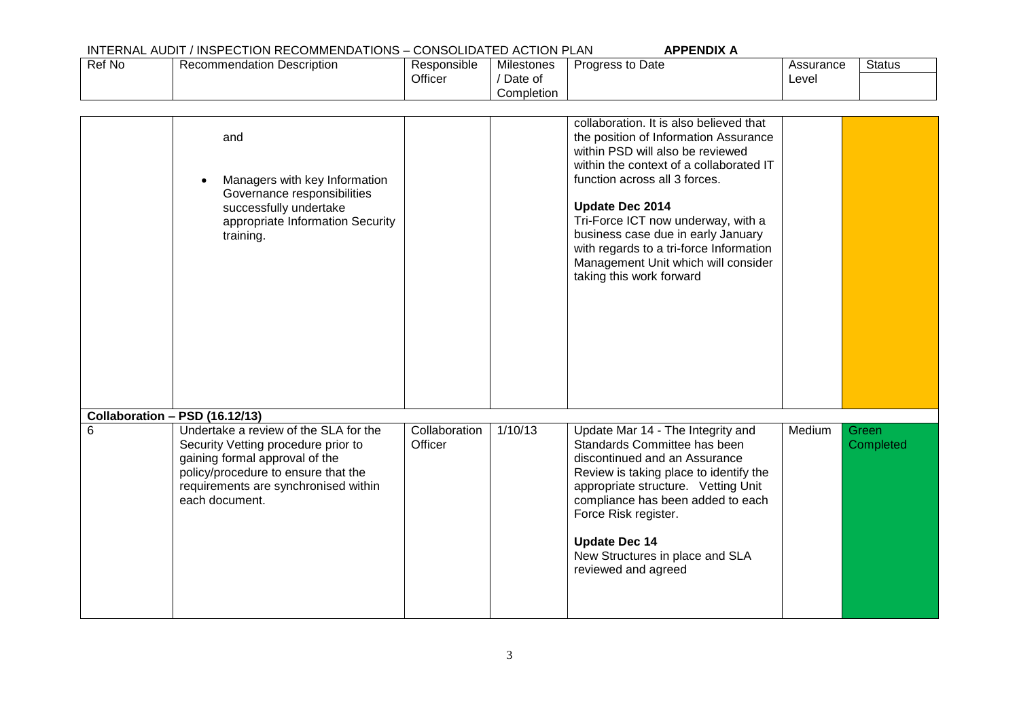## INTERNAL AUDIT / INSPECTION RECOMMENDATIONS – CONSOLIDATED ACTION PLAN **APPENDIX A**

|        |                                   |                    | ______________________________ | .                       |           |               |
|--------|-----------------------------------|--------------------|--------------------------------|-------------------------|-----------|---------------|
| Ref No | <b>Recommendation Description</b> | . .<br>Responsible | <b>Milestones</b>              | <b>Progress to Date</b> | Assurance | <b>Status</b> |
|        |                                   | Officer            | Date of                        |                         | Level     |               |
|        |                                   |                    | Completion                     |                         |           |               |

|   | and<br>Managers with key Information<br>Governance responsibilities<br>successfully undertake<br>appropriate Information Security<br>training.                                                                  |                          |         | collaboration. It is also believed that<br>the position of Information Assurance<br>within PSD will also be reviewed<br>within the context of a collaborated IT<br>function across all 3 forces.<br>Update Dec 2014<br>Tri-Force ICT now underway, with a<br>business case due in early January<br>with regards to a tri-force Information<br>Management Unit which will consider<br>taking this work forward |        |                    |
|---|-----------------------------------------------------------------------------------------------------------------------------------------------------------------------------------------------------------------|--------------------------|---------|---------------------------------------------------------------------------------------------------------------------------------------------------------------------------------------------------------------------------------------------------------------------------------------------------------------------------------------------------------------------------------------------------------------|--------|--------------------|
|   |                                                                                                                                                                                                                 |                          |         |                                                                                                                                                                                                                                                                                                                                                                                                               |        |                    |
|   | Collaboration - PSD (16.12/13)                                                                                                                                                                                  |                          |         |                                                                                                                                                                                                                                                                                                                                                                                                               |        |                    |
| 6 | Undertake a review of the SLA for the<br>Security Vetting procedure prior to<br>gaining formal approval of the<br>policy/procedure to ensure that the<br>requirements are synchronised within<br>each document. | Collaboration<br>Officer | 1/10/13 | Update Mar 14 - The Integrity and<br>Standards Committee has been<br>discontinued and an Assurance<br>Review is taking place to identify the<br>appropriate structure. Vetting Unit<br>compliance has been added to each<br>Force Risk register.<br><b>Update Dec 14</b><br>New Structures in place and SLA<br>reviewed and agreed                                                                            | Medium | Green<br>Completed |